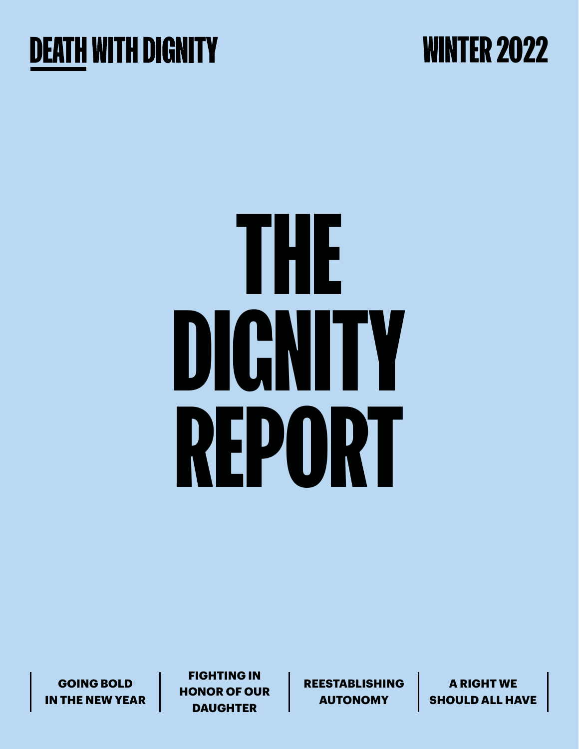

### WINTER 2022

# THE DIGNITY REPORT

**GOING BOLD IN THE NEW YEAR**

**FIGHTING IN HONOR OF OUR DAUGHTER**

**REESTABLISHING AUTONOMY**

**A RIGHT WE SHOULD ALL HAVE**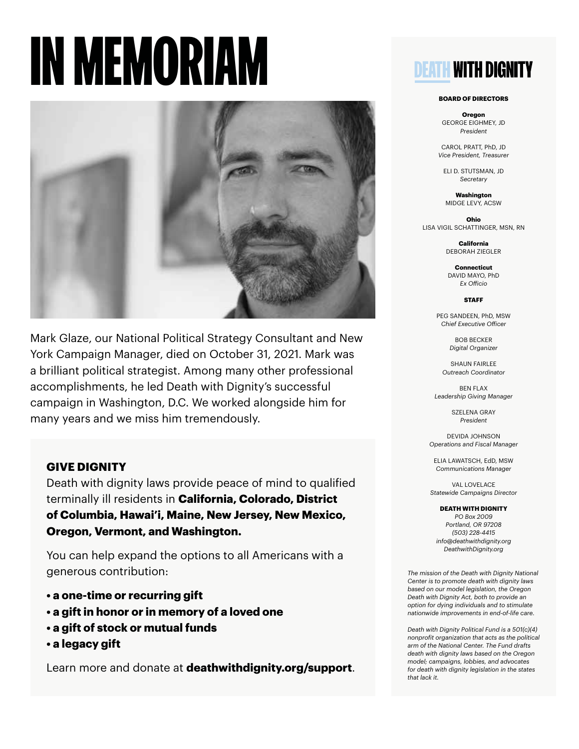## IN MEMORIAM



Mark Glaze, our National Political Strategy Consultant and New York Campaign Manager, died on October 31, 2021. Mark was a brilliant political strategist. Among many other professional accomplishments, he led Death with Dignity's successful campaign in Washington, D.C. We worked alongside him for many years and we miss him tremendously.

#### **GIVE DIGNITY**

Death with dignity laws provide peace of mind to qualified terminally ill residents in **California, Colorado, District of Columbia, Hawai'i, Maine, New Jersey, New Mexico, Oregon, Vermont, and Washington.**

You can help expand the options to all Americans with a generous contribution:

- **a one-time or recurring gift**
- **a gift in honor or in memory of a loved one**
- **a gift of stock or mutual funds**
- **a legacy gift**

Learn more and donate at **deathwithdignity.org/support**.

### **DEATH WITH DIGNITY**

#### **BOARD OF DIRECTORS**

**Oregon** GEORGE EIGHMEY, JD *President*

CAROL PRATT, PhD, JD *Vice President, Treasurer*

ELI D. STUTSMAN, JD *Secretary*

**Washington** MIDGE LEVY, ACSW

**Ohio** LISA VIGIL SCHATTINGER, MSN, RN

> **California** DEBORAH ZIEGLER

**Connecticut** DAVID MAYO, PhD *Ex Officio*

**STAFF**

PEG SANDEEN, PhD, MSW *Chief Executive Officer*

> BOB BECKER *Digital Organizer*

SHAUN FAIRLEE *Outreach Coordinator*

BEN FLAX *Leadership Giving Manager*

> SZELENA GRAY *President*

DEVIDA JOHNSON *Operations and Fiscal Manager*

ELIA LAWATSCH, EdD, MSW *Communications Manager*

VAL LOVELACE *Statewide Campaigns Director*

**DEATH WITH DIGNITY**

*PO Box 2009 Portland, OR 97208 (503) 228-4415 info@deathwithdignity.org DeathwithDignity.org*

*The mission of the Death with Dignity National Center is to promote death with dignity laws based on our model legislation, the Oregon Death with Dignity Act, both to provide an option for dying individuals and to stimulate nationwide improvements in end-of-life care.*

*Death with Dignity Political Fund is a 501(c)(4) nonprofit organization that acts as the political arm of the National Center. The Fund drafts death with dignity laws based on the Oregon model; campaigns, lobbies, and advocates for death with dignity legislation in the states that lack it.*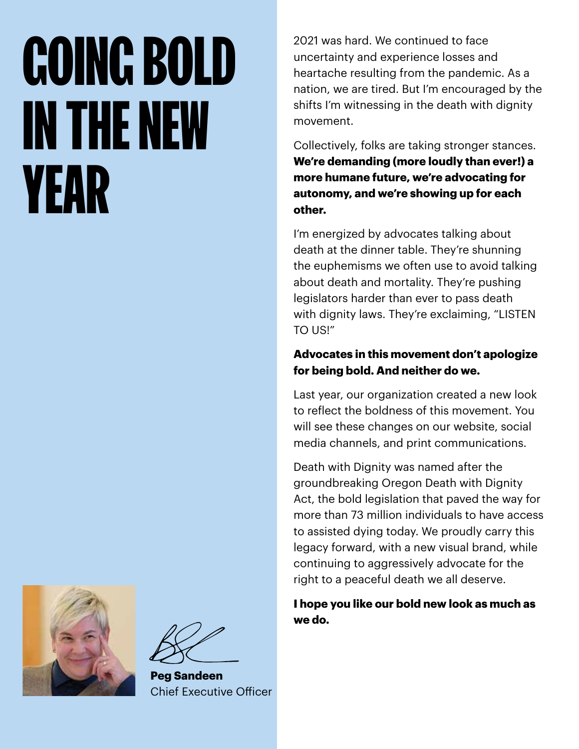## GOING BOLD IN THE NEW YEAR

2021 was hard. We continued to face uncertainty and experience losses and heartache resulting from the pandemic. As a nation, we are tired. But I'm encouraged by the shifts I'm witnessing in the death with dignity movement.

Collectively, folks are taking stronger stances. **We're demanding (more loudly than ever!) a more humane future, we're advocating for autonomy, and we're showing up for each other.** 

I'm energized by advocates talking about death at the dinner table. They're shunning the euphemisms we often use to avoid talking about death and mortality. They're pushing legislators harder than ever to pass death with dignity laws. They're exclaiming, "LISTEN TO US!"

#### **Advocates in this movement don't apologize for being bold. And neither do we.**

Last year, our organization created a new look to reflect the boldness of this movement. You will see these changes on our website, social media channels, and print communications.

Death with Dignity was named after the groundbreaking Oregon Death with Dignity Act, the bold legislation that paved the way for more than 73 million individuals to have access to assisted dying today. We proudly carry this legacy forward, with a new visual brand, while continuing to aggressively advocate for the right to a peaceful death we all deserve.

**I hope you like our bold new look as much as we do.**



**Peg Sandeen** Chief Executive Officer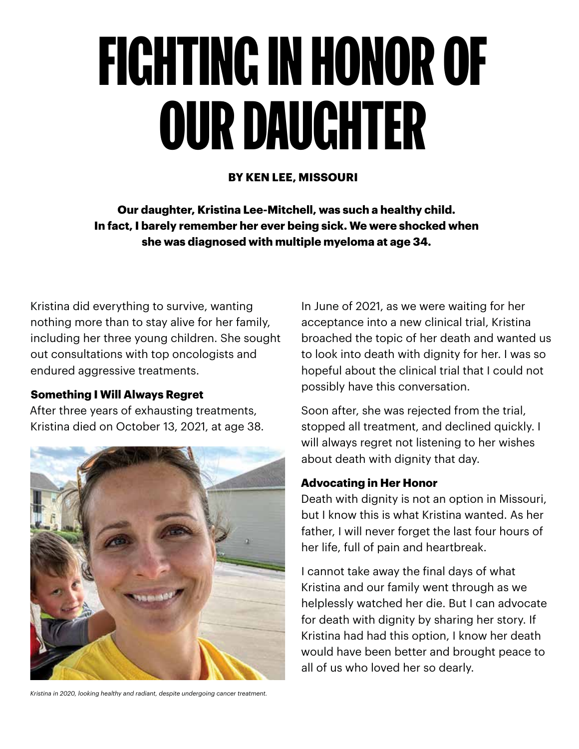## FIGHTING IN HONOR OF OUR DAUGHTER

#### **BY KEN LEE, MISSOURI**

**Our daughter, Kristina Lee-Mitchell, was such a healthy child. In fact, I barely remember her ever being sick. We were shocked when she was diagnosed with multiple myeloma at age 34.**

Kristina did everything to survive, wanting nothing more than to stay alive for her family, including her three young children. She sought out consultations with top oncologists and endured aggressive treatments.

#### **Something I Will Always Regret**

After three years of exhausting treatments, Kristina died on October 13, 2021, at age 38.



*Kristina in 2020, looking healthy and radiant, despite undergoing cancer treatment.* 

In June of 2021, as we were waiting for her acceptance into a new clinical trial, Kristina broached the topic of her death and wanted us to look into death with dignity for her. I was so hopeful about the clinical trial that I could not possibly have this conversation.

Soon after, she was rejected from the trial, stopped all treatment, and declined quickly. I will always regret not listening to her wishes about death with dignity that day.

#### **Advocating in Her Honor**

Death with dignity is not an option in Missouri, but I know this is what Kristina wanted. As her father, I will never forget the last four hours of her life, full of pain and heartbreak.

I cannot take away the final days of what Kristina and our family went through as we helplessly watched her die. But I can advocate for death with dignity by sharing her story. If Kristina had had this option, I know her death would have been better and brought peace to all of us who loved her so dearly.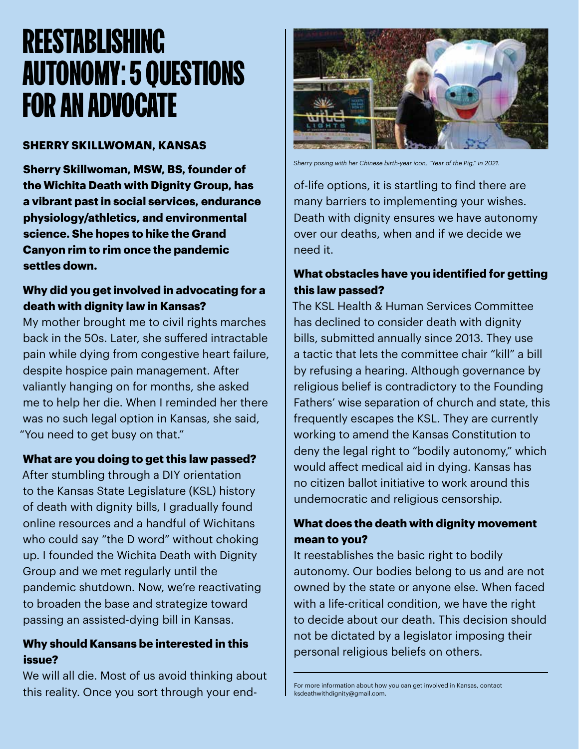### REESTABLISHING AUTONOMY: 5 QUESTIONS FOR AN ADVOCATE

#### **SHERRY SKILLWOMAN, KANSAS**

**Sherry Skillwoman, MSW, BS, founder of the Wichita Death with Dignity Group, has a vibrant past in social services, endurance physiology/athletics, and environmental science. She hopes to hike the Grand Canyon rim to rim once the pandemic settles down.**

#### **Why did you get involved in advocating for a death with dignity law in Kansas?**

My mother brought me to civil rights marches back in the 50s. Later, she suffered intractable pain while dying from congestive heart failure, despite hospice pain management. After valiantly hanging on for months, she asked me to help her die. When I reminded her there was no such legal option in Kansas, she said, "You need to get busy on that."

#### **What are you doing to get this law passed?**

After stumbling through a DIY orientation to the Kansas State Legislature (KSL) history of death with dignity bills, I gradually found online resources and a handful of Wichitans who could say "the D word" without choking up. I founded the Wichita Death with Dignity Group and we met regularly until the pandemic shutdown. Now, we're reactivating to broaden the base and strategize toward passing an assisted-dying bill in Kansas.

#### **Why should Kansans be interested in this issue?**

We will all die. Most of us avoid thinking about this reality. Once you sort through your end-



*Sherry posing with her Chinese birth-year icon, "Year of the Pig," in 2021.* 

of-life options, it is startling to find there are many barriers to implementing your wishes. Death with dignity ensures we have autonomy over our deaths, when and if we decide we need it.

#### **What obstacles have you identified for getting this law passed?**

The KSL Health & Human Services Committee has declined to consider death with dignity bills, submitted annually since 2013. They use a tactic that lets the committee chair "kill" a bill by refusing a hearing. Although governance by religious belief is contradictory to the Founding Fathers' wise separation of church and state, this frequently escapes the KSL. They are currently working to amend the Kansas Constitution to deny the legal right to "bodily autonomy," which would affect medical aid in dying. Kansas has no citizen ballot initiative to work around this undemocratic and religious censorship.

#### **What does the death with dignity movement mean to you?**

It reestablishes the basic right to bodily autonomy. Our bodies belong to us and are not owned by the state or anyone else. When faced with a life-critical condition, we have the right to decide about our death. This decision should not be dictated by a legislator imposing their personal religious beliefs on others.

For more information about how you can get involved in Kansas, contact ksdeathwithdignity@gmail.com.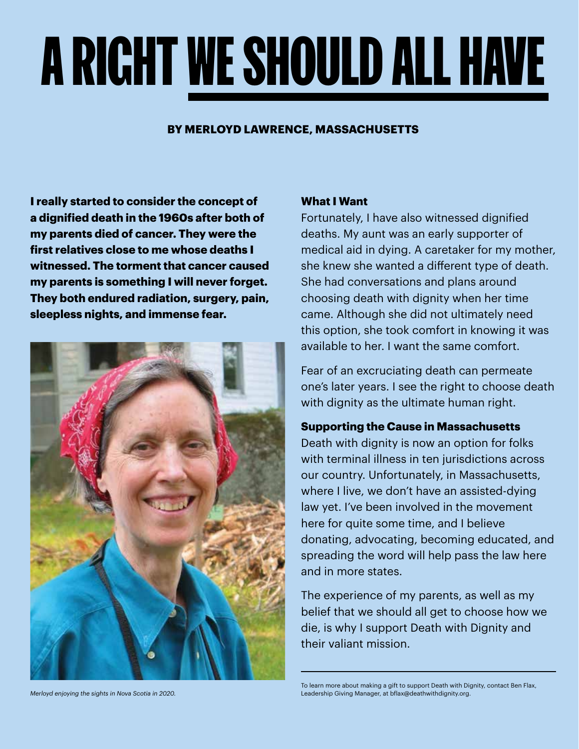## A RIGHT WE SHOULD ALL HAVE

#### **BY MERLOYD LAWRENCE, MASSACHUSETTS**

**I really started to consider the concept of a dignified death in the 1960s after both of my parents died of cancer. They were the first relatives close to me whose deaths I witnessed. The torment that cancer caused my parents is something I will never forget. They both endured radiation, surgery, pain, sleepless nights, and immense fear.**



**What I Want** 

Fortunately, I have also witnessed dignified deaths. My aunt was an early supporter of medical aid in dying. A caretaker for my mother, she knew she wanted a different type of death. She had conversations and plans around choosing death with dignity when her time came. Although she did not ultimately need this option, she took comfort in knowing it was available to her. I want the same comfort.

Fear of an excruciating death can permeate one's later years. I see the right to choose death with dignity as the ultimate human right.

#### **Supporting the Cause in Massachusetts**

Death with dignity is now an option for folks with terminal illness in ten jurisdictions across our country. Unfortunately, in Massachusetts, where I live, we don't have an assisted-dying law yet. I've been involved in the movement here for quite some time, and I believe donating, advocating, becoming educated, and spreading the word will help pass the law here and in more states.

The experience of my parents, as well as my belief that we should all get to choose how we die, is why I support Death with Dignity and their valiant mission.

To learn more about making a gift to support Death with Dignity, contact Ben Flax, Leadership Giving Manager, at bflax@deathwithdignity.org.

*Merloyd enjoying the sights in Nova Scotia in 2020.*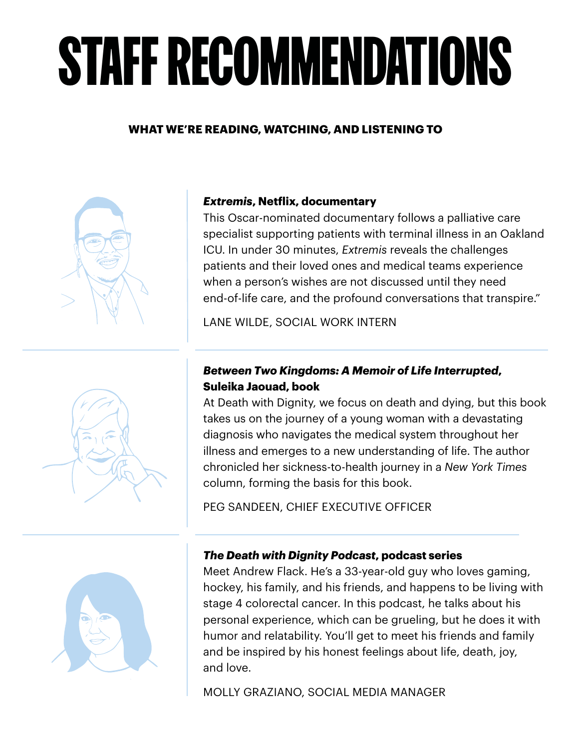## STAFF RECOMMENDATIONS

#### **WHAT WE'RE READING, WATCHING, AND LISTENING TO**



#### *Extremis***, Netflix, documentary**

This Oscar-nominated documentary follows a palliative care specialist supporting patients with terminal illness in an Oakland ICU. In under 30 minutes, *Extremis* reveals the challenges patients and their loved ones and medical teams experience when a person's wishes are not discussed until they need end-of-life care, and the profound conversations that transpire."

LANE WILDE, SOCIAL WORK INTERN

#### *Between Two Kingdoms: A Memoir of Life Interrupted***, Suleika Jaouad, book**

At Death with Dignity, we focus on death and dying, but this book takes us on the journey of a young woman with a devastating diagnosis who navigates the medical system throughout her illness and emerges to a new understanding of life. The author chronicled her sickness-to-health journey in a *New York Times* column, forming the basis for this book.

PEG SANDEEN, CHIEF EXECUTIVE OFFICER



#### *The Death with Dignity Podcast***, podcast series**

Meet Andrew Flack. He's a 33-year-old guy who loves gaming, hockey, his family, and his friends, and happens to be living with stage 4 colorectal cancer. In this podcast, he talks about his personal experience, which can be grueling, but he does it with humor and relatability. You'll get to meet his friends and family and be inspired by his honest feelings about life, death, joy, and love.

MOLLY GRAZIANO, SOCIAL MEDIA MANAGER